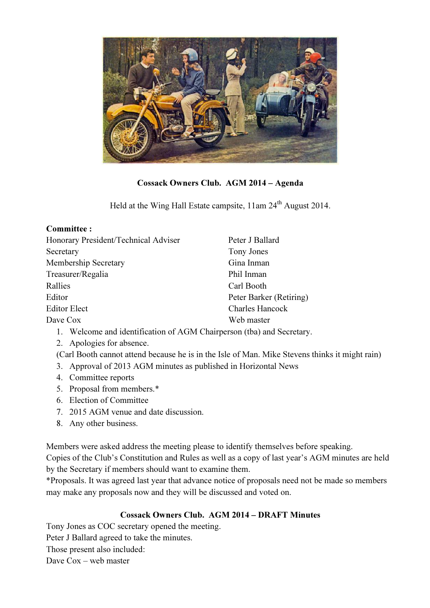

## Cossack Owners Club. AGM 2014 – Agenda

Held at the Wing Hall Estate campsite, 11am 24<sup>th</sup> August 2014.

| Peter J Ballard                                                       |
|-----------------------------------------------------------------------|
| Tony Jones                                                            |
| Gina Inman                                                            |
| Phil Inman                                                            |
| Carl Booth                                                            |
| Peter Barker (Retiring)                                               |
| <b>Charles Hancock</b>                                                |
| Web master                                                            |
| 1. Welcome and identification of AGM Chairperson (tba) and Secretary. |
|                                                                       |
|                                                                       |

(Carl Booth cannot attend because he is in the Isle of Man. Mike Stevens thinks it might rain)

- 3. Approval of 2013 AGM minutes as published in Horizontal News
- 4. Committee reports
- 5. Proposal from members.\*
- 6. Election of Committee
- 7. 2015 AGM venue and date discussion.
- 8. Any other business.

Members were asked address the meeting please to identify themselves before speaking. Copies of the Club's Constitution and Rules as well as a copy of last year's AGM minutes are held by the Secretary if members should want to examine them.

\*Proposals. It was agreed last year that advance notice of proposals need not be made so members may make any proposals now and they will be discussed and voted on.

## Cossack Owners Club. AGM 2014 – DRAFT Minutes

Tony Jones as COC secretary opened the meeting.

Peter J Ballard agreed to take the minutes.

Those present also included:

Dave Cox – web master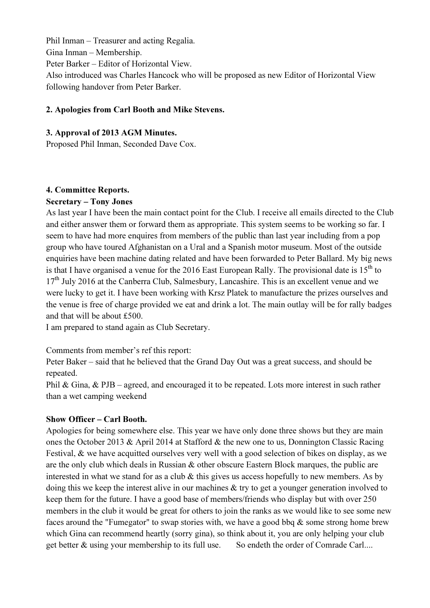Phil Inman – Treasurer and acting Regalia. Gina Inman – Membership. Peter Barker – Editor of Horizontal View. Also introduced was Charles Hancock who will be proposed as new Editor of Horizontal View following handover from Peter Barker.

#### 2. Apologies from Carl Booth and Mike Stevens.

#### 3. Approval of 2013 AGM Minutes.

Proposed Phil Inman, Seconded Dave Cox.

#### 4. Committee Reports.

#### Secretary – Tony Jones

As last year I have been the main contact point for the Club. I receive all emails directed to the Club and either answer them or forward them as appropriate. This system seems to be working so far. I seem to have had more enquires from members of the public than last year including from a pop group who have toured Afghanistan on a Ural and a Spanish motor museum. Most of the outside enquiries have been machine dating related and have been forwarded to Peter Ballard. My big news is that I have organised a venue for the 2016 East European Rally. The provisional date is  $15<sup>th</sup>$  to  $17<sup>th</sup>$  July 2016 at the Canberra Club, Salmesbury, Lancashire. This is an excellent venue and we were lucky to get it. I have been working with Krsz Platek to manufacture the prizes ourselves and the venue is free of charge provided we eat and drink a lot. The main outlay will be for rally badges and that will be about £500.

I am prepared to stand again as Club Secretary.

Comments from member's ref this report:

Peter Baker – said that he believed that the Grand Day Out was a great success, and should be repeated.

Phil & Gina, & PJB – agreed, and encouraged it to be repeated. Lots more interest in such rather than a wet camping weekend

#### Show Officer – Carl Booth.

Apologies for being somewhere else. This year we have only done three shows but they are main ones the October 2013 & April 2014 at Stafford & the new one to us, Donnington Classic Racing Festival, & we have acquitted ourselves very well with a good selection of bikes on display, as we are the only club which deals in Russian & other obscure Eastern Block marques, the public are interested in what we stand for as a club  $\&$  this gives us access hopefully to new members. As by doing this we keep the interest alive in our machines & try to get a younger generation involved to keep them for the future. I have a good base of members/friends who display but with over 250 members in the club it would be great for others to join the ranks as we would like to see some new faces around the "Fumegator" to swap stories with, we have a good bbq  $\&$  some strong home brew which Gina can recommend heartly (sorry gina), so think about it, you are only helping your club get better & using your membership to its full use. So endeth the order of Comrade Carl....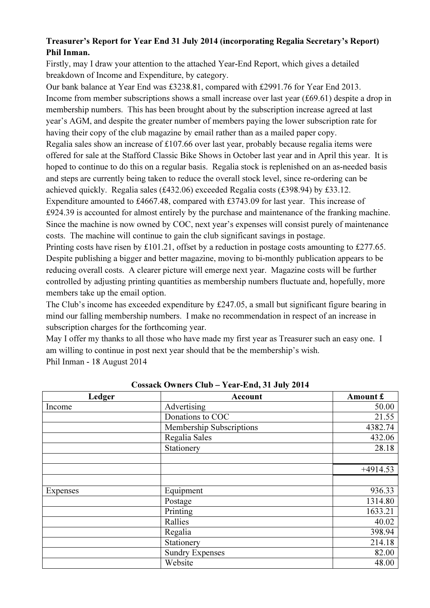## Treasurer's Report for Year End 31 July 2014 (incorporating Regalia Secretary's Report) Phil Inman.

Firstly, may I draw your attention to the attached Year-End Report, which gives a detailed breakdown of Income and Expenditure, by category.

Our bank balance at Year End was £3238.81, compared with £2991.76 for Year End 2013. Income from member subscriptions shows a small increase over last year (£69.61) despite a drop in membership numbers. This has been brought about by the subscription increase agreed at last year's AGM, and despite the greater number of members paying the lower subscription rate for having their copy of the club magazine by email rather than as a mailed paper copy.

Regalia sales show an increase of £107.66 over last year, probably because regalia items were offered for sale at the Stafford Classic Bike Shows in October last year and in April this year. It is hoped to continue to do this on a regular basis. Regalia stock is replenished on an as-needed basis and steps are currently being taken to reduce the overall stock level, since re-ordering can be achieved quickly. Regalia sales (£432.06) exceeded Regalia costs (£398.94) by £33.12.

Expenditure amounted to £4667.48, compared with £3743.09 for last year. This increase of £924.39 is accounted for almost entirely by the purchase and maintenance of the franking machine. Since the machine is now owned by COC, next year's expenses will consist purely of maintenance costs. The machine will continue to gain the club significant savings in postage.

Printing costs have risen by £101.21, offset by a reduction in postage costs amounting to £277.65. Despite publishing a bigger and better magazine, moving to bi-monthly publication appears to be reducing overall costs. A clearer picture will emerge next year. Magazine costs will be further controlled by adjusting printing quantities as membership numbers fluctuate and, hopefully, more members take up the email option.

The Club's income has exceeded expenditure by £247.05, a small but significant figure bearing in mind our falling membership numbers. I make no recommendation in respect of an increase in subscription charges for the forthcoming year.

May I offer my thanks to all those who have made my first year as Treasurer such an easy one. I am willing to continue in post next year should that be the membership's wish. Phil Inman - 18 August 2014

| Ledger   | Account                  | Amount £   |
|----------|--------------------------|------------|
| Income   | Advertising              | 50.00      |
|          | Donations to COC         | 21.55      |
|          | Membership Subscriptions | 4382.74    |
|          | Regalia Sales            | 432.06     |
|          | Stationery               | 28.18      |
|          |                          |            |
|          |                          | $+4914.53$ |
|          |                          |            |
| Expenses | Equipment                | 936.33     |
|          | Postage                  | 1314.80    |
|          | Printing                 | 1633.21    |
|          | Rallies                  | 40.02      |
|          | Regalia                  | 398.94     |
|          | Stationery               | 214.18     |
|          | <b>Sundry Expenses</b>   | 82.00      |
|          | Website                  | 48.00      |

Cossack Owners Club – Year-End, 31 July 2014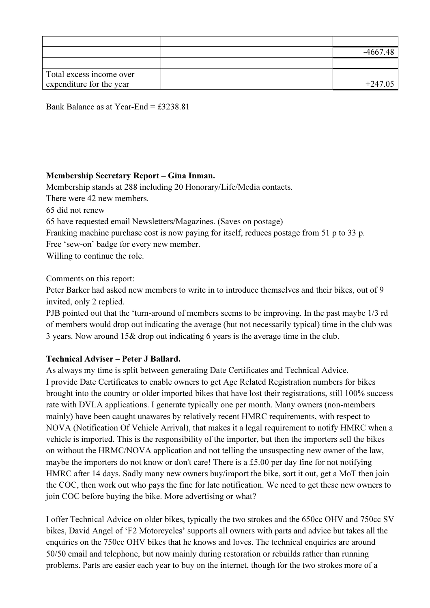|                          | $-4667.48$ |
|--------------------------|------------|
|                          |            |
| Total excess income over |            |
| expenditure for the year | $+247.05$  |

Bank Balance as at Year-End = £3238.81

#### Membership Secretary Report – Gina Inman.

Membership stands at 288 including 20 Honorary/Life/Media contacts.

There were 42 new members.

65 did not renew

65 have requested email Newsletters/Magazines. (Saves on postage)

Franking machine purchase cost is now paying for itself, reduces postage from 51 p to 33 p.

Free 'sew-on' badge for every new member.

Willing to continue the role.

Comments on this report:

Peter Barker had asked new members to write in to introduce themselves and their bikes, out of 9 invited, only 2 replied.

PJB pointed out that the 'turn-around of members seems to be improving. In the past maybe 1/3 rd of members would drop out indicating the average (but not necessarily typical) time in the club was 3 years. Now around 15& drop out indicating 6 years is the average time in the club.

#### Technical Adviser – Peter J Ballard.

As always my time is split between generating Date Certificates and Technical Advice. I provide Date Certificates to enable owners to get Age Related Registration numbers for bikes brought into the country or older imported bikes that have lost their registrations, still 100% success rate with DVLA applications. I generate typically one per month. Many owners (non-members mainly) have been caught unawares by relatively recent HMRC requirements, with respect to NOVA (Notification Of Vehicle Arrival), that makes it a legal requirement to notify HMRC when a vehicle is imported. This is the responsibility of the importer, but then the importers sell the bikes on without the HRMC/NOVA application and not telling the unsuspecting new owner of the law, maybe the importers do not know or don't care! There is a £5.00 per day fine for not notifying HMRC after 14 days. Sadly many new owners buy/import the bike, sort it out, get a MoT then join the COC, then work out who pays the fine for late notification. We need to get these new owners to join COC before buying the bike. More advertising or what?

I offer Technical Advice on older bikes, typically the two strokes and the 650cc OHV and 750cc SV bikes, David Angel of 'F2 Motorcycles' supports all owners with parts and advice but takes all the enquiries on the 750cc OHV bikes that he knows and loves. The technical enquiries are around 50/50 email and telephone, but now mainly during restoration or rebuilds rather than running problems. Parts are easier each year to buy on the internet, though for the two strokes more of a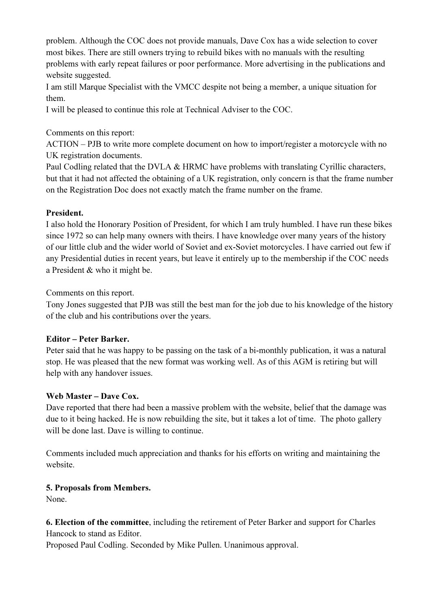problem. Although the COC does not provide manuals, Dave Cox has a wide selection to cover most bikes. There are still owners trying to rebuild bikes with no manuals with the resulting problems with early repeat failures or poor performance. More advertising in the publications and website suggested.

I am still Marque Specialist with the VMCC despite not being a member, a unique situation for them.

I will be pleased to continue this role at Technical Adviser to the COC.

#### Comments on this report:

ACTION – PJB to write more complete document on how to import/register a motorcycle with no UK registration documents.

Paul Codling related that the DVLA & HRMC have problems with translating Cyrillic characters, but that it had not affected the obtaining of a UK registration, only concern is that the frame number on the Registration Doc does not exactly match the frame number on the frame.

## President.

I also hold the Honorary Position of President, for which I am truly humbled. I have run these bikes since 1972 so can help many owners with theirs. I have knowledge over many years of the history of our little club and the wider world of Soviet and ex-Soviet motorcycles. I have carried out few if any Presidential duties in recent years, but leave it entirely up to the membership if the COC needs a President & who it might be.

Comments on this report.

Tony Jones suggested that PJB was still the best man for the job due to his knowledge of the history of the club and his contributions over the years.

## Editor – Peter Barker.

Peter said that he was happy to be passing on the task of a bi-monthly publication, it was a natural stop. He was pleased that the new format was working well. As of this AGM is retiring but will help with any handover issues.

## Web Master – Dave Cox.

Dave reported that there had been a massive problem with the website, belief that the damage was due to it being hacked. He is now rebuilding the site, but it takes a lot of time. The photo gallery will be done last. Dave is willing to continue.

Comments included much appreciation and thanks for his efforts on writing and maintaining the website.

## 5. Proposals from Members.

None.

6. Election of the committee, including the retirement of Peter Barker and support for Charles Hancock to stand as Editor.

Proposed Paul Codling. Seconded by Mike Pullen. Unanimous approval.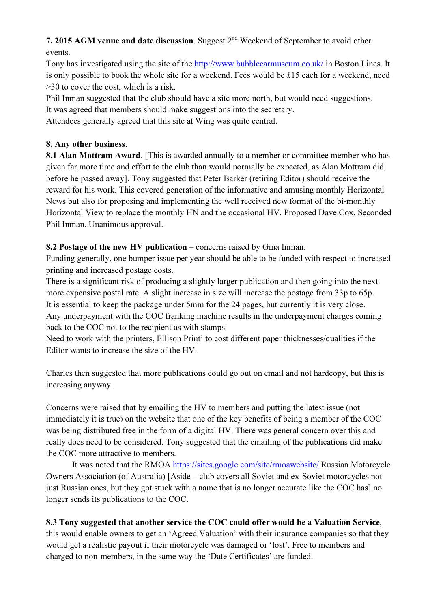# 7. 2015 AGM venue and date discussion. Suggest  $2<sup>nd</sup>$  Weekend of September to avoid other events.

Tony has investigated using the site of the http://www.bubblecarmuseum.co.uk/ in Boston Lincs. It is only possible to book the whole site for a weekend. Fees would be £15 each for a weekend, need >30 to cover the cost, which is a risk.

Phil Inman suggested that the club should have a site more north, but would need suggestions.

It was agreed that members should make suggestions into the secretary.

Attendees generally agreed that this site at Wing was quite central.

#### 8. Any other business.

8.1 Alan Mottram Award. [This is awarded annually to a member or committee member who has given far more time and effort to the club than would normally be expected, as Alan Mottram did, before he passed away]. Tony suggested that Peter Barker (retiring Editor) should receive the reward for his work. This covered generation of the informative and amusing monthly Horizontal News but also for proposing and implementing the well received new format of the bi-monthly Horizontal View to replace the monthly HN and the occasional HV. Proposed Dave Cox. Seconded Phil Inman. Unanimous approval.

## 8.2 Postage of the new HV publication – concerns raised by Gina Inman.

Funding generally, one bumper issue per year should be able to be funded with respect to increased printing and increased postage costs.

There is a significant risk of producing a slightly larger publication and then going into the next more expensive postal rate. A slight increase in size will increase the postage from 33p to 65p. It is essential to keep the package under 5mm for the 24 pages, but currently it is very close. Any underpayment with the COC franking machine results in the underpayment charges coming back to the COC not to the recipient as with stamps.

Need to work with the printers, Ellison Print' to cost different paper thicknesses/qualities if the Editor wants to increase the size of the HV.

Charles then suggested that more publications could go out on email and not hardcopy, but this is increasing anyway.

Concerns were raised that by emailing the HV to members and putting the latest issue (not immediately it is true) on the website that one of the key benefits of being a member of the COC was being distributed free in the form of a digital HV. There was general concern over this and really does need to be considered. Tony suggested that the emailing of the publications did make the COC more attractive to members.

It was noted that the RMOA https://sites.google.com/site/rmoawebsite/ Russian Motorcycle Owners Association (of Australia) [Aside – club covers all Soviet and ex-Soviet motorcycles not just Russian ones, but they got stuck with a name that is no longer accurate like the COC has] no longer sends its publications to the COC.

## 8.3 Tony suggested that another service the COC could offer would be a Valuation Service,

this would enable owners to get an 'Agreed Valuation' with their insurance companies so that they would get a realistic payout if their motorcycle was damaged or 'lost'. Free to members and charged to non-members, in the same way the 'Date Certificates' are funded.